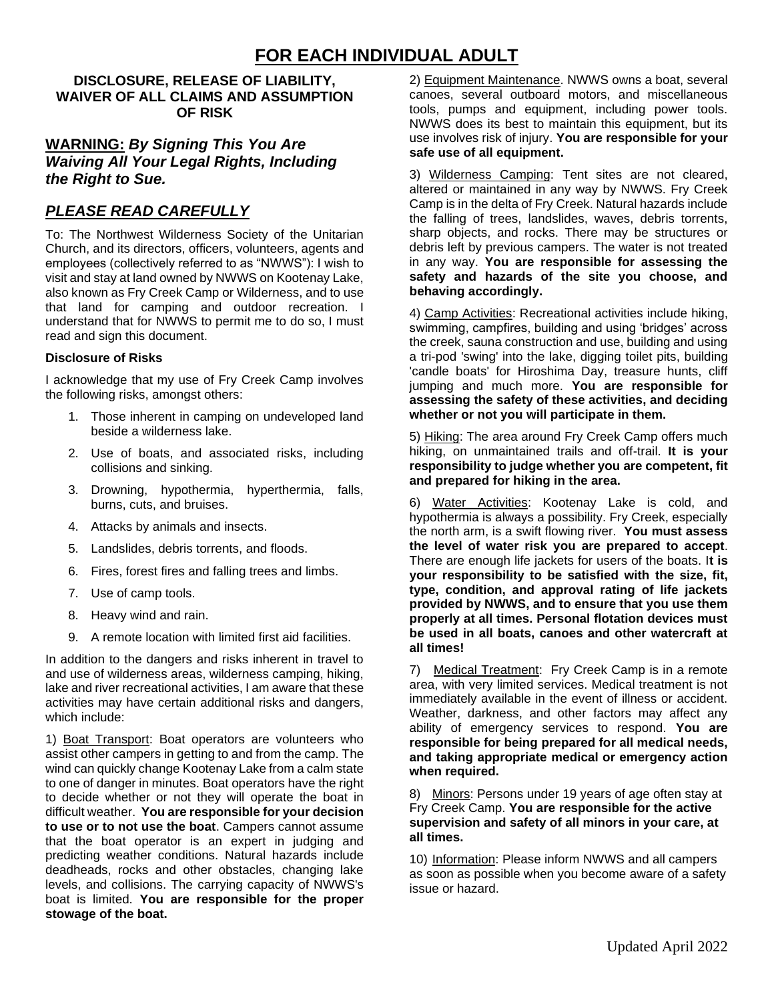# **FOR EACH INDIVIDUAL ADULT**

#### **DISCLOSURE, RELEASE OF LIABILITY, WAIVER OF ALL CLAIMS AND ASSUMPTION OF RISK**

#### **WARNING:** *By Signing This You Are Waiving All Your Legal Rights, Including the Right to Sue.*

### *PLEASE READ CAREFULLY*

To: The Northwest Wilderness Society of the Unitarian Church, and its directors, officers, volunteers, agents and employees (collectively referred to as "NWWS"): I wish to visit and stay at land owned by NWWS on Kootenay Lake, also known as Fry Creek Camp or Wilderness, and to use that land for camping and outdoor recreation. I understand that for NWWS to permit me to do so, I must read and sign this document.

#### **Disclosure of Risks**

I acknowledge that my use of Fry Creek Camp involves the following risks, amongst others:

- 1. Those inherent in camping on undeveloped land beside a wilderness lake.
- 2. Use of boats, and associated risks, including collisions and sinking.
- 3. Drowning, hypothermia, hyperthermia, falls, burns, cuts, and bruises.
- 4. Attacks by animals and insects.
- 5. Landslides, debris torrents, and floods.
- 6. Fires, forest fires and falling trees and limbs.
- 7. Use of camp tools.
- 8. Heavy wind and rain.
- 9. A remote location with limited first aid facilities.

In addition to the dangers and risks inherent in travel to and use of wilderness areas, wilderness camping, hiking, lake and river recreational activities, I am aware that these activities may have certain additional risks and dangers, which include:

1) Boat Transport: Boat operators are volunteers who assist other campers in getting to and from the camp. The wind can quickly change Kootenay Lake from a calm state to one of danger in minutes. Boat operators have the right to decide whether or not they will operate the boat in difficult weather. **You are responsible for your decision to use or to not use the boat**. Campers cannot assume that the boat operator is an expert in judging and predicting weather conditions. Natural hazards include deadheads, rocks and other obstacles, changing lake levels, and collisions. The carrying capacity of NWWS's boat is limited. **You are responsible for the proper stowage of the boat.**

2) Equipment Maintenance. NWWS owns a boat, several canoes, several outboard motors, and miscellaneous tools, pumps and equipment, including power tools. NWWS does its best to maintain this equipment, but its use involves risk of injury. **You are responsible for your safe use of all equipment.**

3) Wilderness Camping: Tent sites are not cleared, altered or maintained in any way by NWWS. Fry Creek Camp is in the delta of Fry Creek. Natural hazards include the falling of trees, landslides, waves, debris torrents, sharp objects, and rocks. There may be structures or debris left by previous campers. The water is not treated in any way. **You are responsible for assessing the safety and hazards of the site you choose, and behaving accordingly.**

4) Camp Activities: Recreational activities include hiking, swimming, campfires, building and using 'bridges' across the creek, sauna construction and use, building and using a tri-pod 'swing' into the lake, digging toilet pits, building 'candle boats' for Hiroshima Day, treasure hunts, cliff jumping and much more. **You are responsible for assessing the safety of these activities, and deciding whether or not you will participate in them.**

5) Hiking: The area around Fry Creek Camp offers much hiking, on unmaintained trails and off-trail. **It is your responsibility to judge whether you are competent, fit and prepared for hiking in the area.**

6) Water Activities: Kootenay Lake is cold, and hypothermia is always a possibility. Fry Creek, especially the north arm, is a swift flowing river. **You must assess the level of water risk you are prepared to accept**. There are enough life jackets for users of the boats. I**t is your responsibility to be satisfied with the size, fit, type, condition, and approval rating of life jackets provided by NWWS, and to ensure that you use them properly at all times. Personal flotation devices must be used in all boats, canoes and other watercraft at all times!**

7) Medical Treatment: Fry Creek Camp is in a remote area, with very limited services. Medical treatment is not immediately available in the event of illness or accident. Weather, darkness, and other factors may affect any ability of emergency services to respond. **You are responsible for being prepared for all medical needs, and taking appropriate medical or emergency action when required.**

8) Minors: Persons under 19 years of age often stay at Fry Creek Camp. **You are responsible for the active supervision and safety of all minors in your care, at all times.**

10) Information: Please inform NWWS and all campers as soon as possible when you become aware of a safety issue or hazard.